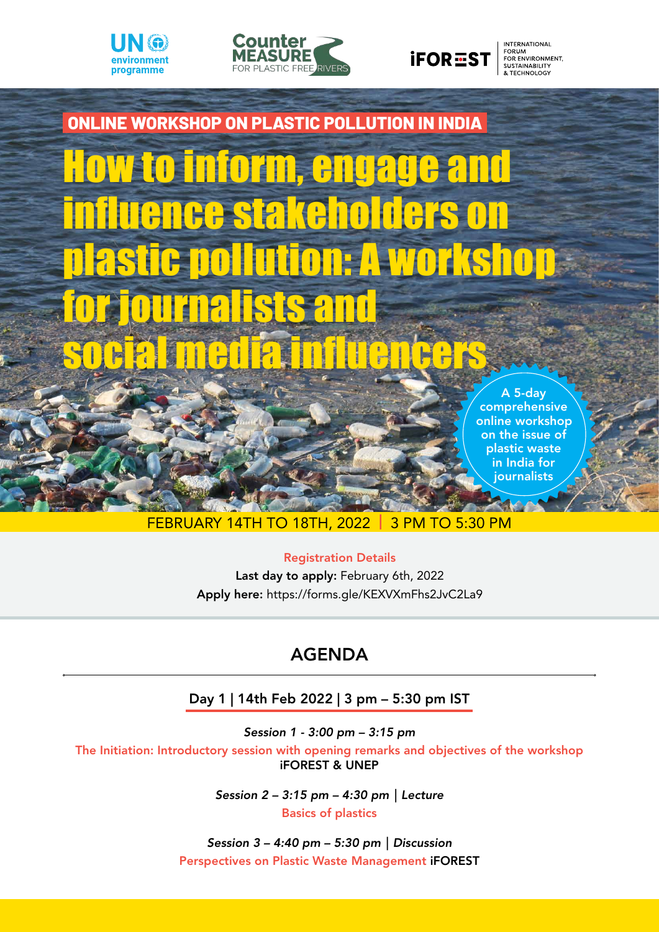





**INTERNATIONAL** FORUM<br>FORUM<br>FOR ENVIRONMENT,<br>SUSTAINABILITY<br>& TECHNOLOGY



## February 14th to 18th, 2022 | 3 pm to 5:30 pm

### Registration Details

Last day to apply: February 6th, 2022 Apply here: https://forms.gle/KEXVXmFhs2JvC2La9

# **AGENDA**

## Day 1 | 14th Feb 2022 | 3 pm – 5:30 pm IST

*Session 1 - 3:00 pm – 3:15 pm* 

The Initiation: Introductory session with opening remarks and objectives of the workshop iFOREST & UNEP

> *Session 2 – 3:15 pm – 4:30 pm | Lecture*  Basics of plastics

*Session 3 – 4:40 pm – 5:30 pm | Discussion* Perspectives on Plastic Waste Management iFOREST